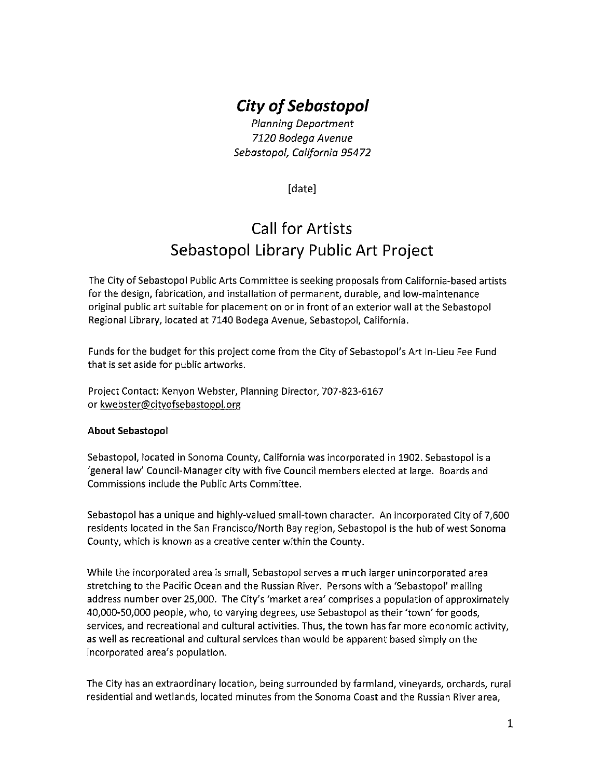# **City of Sebastopol**

Planning Department 7120 Bodega Avenue Sebastopol, California 95472

[date]

# Call for Artists Sebastopol Library Public Art Project

The City of Sebastopol Public Arts Committee is seeking proposals from California-based artists for the design, fabrication, and installation of permanent, durable, and low-maintenance original public art suitable for placement on or in front of an exterior wall at the Sebastopol Regional Library, located at 7140 Bodega Avenue, Sebastopol, California.

Funds for the budget for this project come from the City of Sebastopol's Art In-Lieu Fee Fund that is set aside for public artworks.

Project Contact: Kenyon Webster, Planning Director, 707-823-6167 or kwebster@cityofsebastopol.org

#### About Sebastopol

Sebastopol, located in Sonoma County, California was incorporated in 1902. Sebastopol is <sup>a</sup> 'general law' Council-Manager city with five Council members elected at large. Boards and Commissions include the Public Arts Committee.

Sebastopol has <sup>a</sup> unique and highly-valued small-town character. An incorporated City of 7,600 residents located in the San Francisco/North Bay region, Sebastopol is the hub of west Sonoma County, which is known as <sup>a</sup> creative center within the County.

While the incorporated area is small, Sebastopol serves <sup>a</sup> much larger unincorporated area stretching to the Pacific Ocean and the Russian River. Persons with <sup>a</sup> 'Sebastopol' mailing address number over 25,000. The City's 'market area' comprises <sup>a</sup> population of approximately 40,000-50,000 people, who, to varying degrees, use Sebastopol as their 'town' for goods, services, and recreational and cultural activities. Thus, the town has far more economic activity, as well as recreational and cultural services than would be apparent based simply on the incorporated area's population.

The City has an extraordinary location, being surrounded by farmland, vineyards, orchards, rural residential and wetlands, located minutes from the Sonoma Coast and the Russian River area,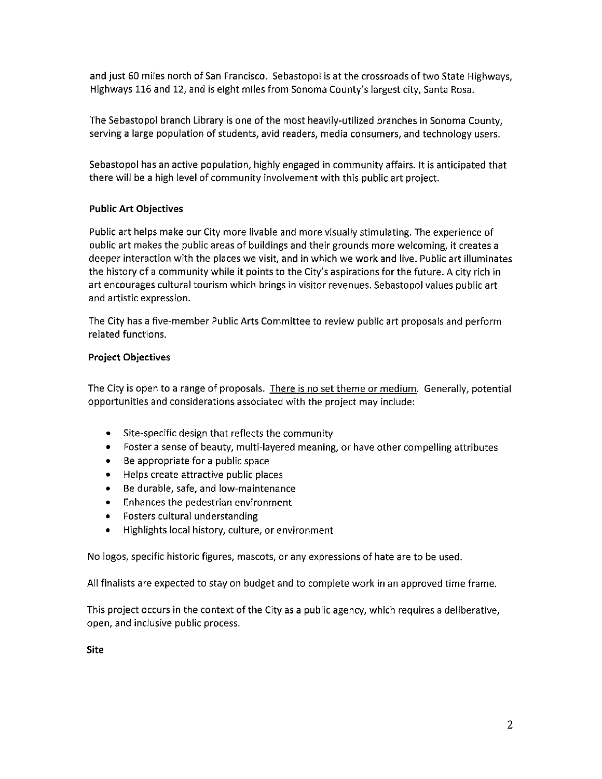and just 60 miles north of San Francisco. Sebastopol is at the crossroads of two State Highways, Highways 116 and 12, and is eight miles from Sonoma County's largest city, Santa Rosa.

The Sebastopol branch Library is one of the most heavily-utilized branches in Sonoma County, serving <sup>a</sup> large population of students, avid readers, media consumers, and technology users.

Sebastopol has an active population, highly engaged in community affairs. It is anticipated that there will be <sup>a</sup> high level of community involvement with this public art project.

### Public Art Objectives

Public art helps make our City more livable and more visually stimulating. The experience of public art makes the public areas of buildings and their grounds more welcoming, it creates <sup>a</sup> deeper interaction with the places we visit, and in which we work and live. Public art illuminates the history of <sup>a</sup> community while it points to the City's aspirations for the future. A city rich in art encourages cultural tourism which brings in visitor revenues. Sebastopol values public art and artistic expression.

The City has <sup>a</sup> five-member Public Arts Committee to review public art proposals and perform related functions.

#### Project Objectives

The City is open to a range of proposals. There is no set theme or medium. Generally, potential opportunities and considerations associated with the project may include:

- Site-specific design that reflects the community
- Foster a sense of beauty, multi-layered meaning, or have other compelling attributes
- Be appropriate for <sup>a</sup> public space
- Helps create attractive public places
- Be durable, safe, and low-maintenance
- Enhances the pedestrian environment
- Fosters cultural understanding
- Highlights local history, culture, or environment

No logos, specific historic figures, mascots, or any expressions of hate are to be used.

All finalists are expected to stay on budget and to complete work in an approved time frame.

This project occurs in the context of the City as <sup>a</sup> public agency, which requires <sup>a</sup> deliberative, open, and inclusive public process.

Site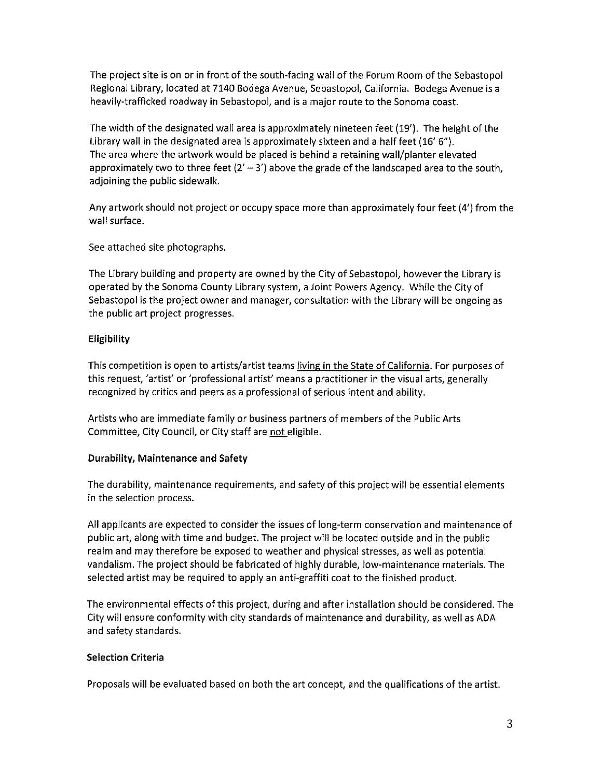The project site is on or in front of the south-facing wall of the Forum Room of the Sebastopol Regional Library, located at 7140 Bodega Avenue, Sebastopol, California. Bodega Avenue is <sup>a</sup> heavily-trafficked roadway in Sebastopol, and is <sup>a</sup> major route to the Sonoma coast.

The width of the designated wall area is approximately nineteen feet (19'). The height of the Library wall in the designated area is approximately sixteen and <sup>a</sup> half feet (16' 6"). The area where the artwork would be placed is behind <sup>a</sup> retaining wall/planter elevated approximately two to three feet  $(2' - 3')$  above the grade of the landscaped area to the south, adjoining the public sidewalk.

Any artwork should not project or occupy space more than approximately four feet (4') from the wall surface.

See attached site photographs.

The Library building and property are owned by the City of Sebastopol, however the Library is operated by the Sonoma County Library system, <sup>a</sup> Joint Powers Agency. While the City of Sebastopol is the project owner and manager, consultation with the Library will be ongoing as the public art project progresses.

### Eligibility

This competition is open to artists/artist teams living in the State of California. For purposes of this request, 'artist' or 'professional artist' means <sup>a</sup> practitioner in the visual arts, generally recognized by critics and peers as <sup>a</sup> professional of serious intent and ability.

Artists who are immediate family or business partners of members of the Public Arts Committee, City Council, or City staff are not eligible.

#### Durability, Maintenance and Safety

The durability, maintenance requirements, and safety of this project will be essential elements in the selection process.

All applicants are expected to consider the issues of long-term conservation and maintenance of public art, along with time and budget. The project will be located outside and in the public realm and may therefore be exposed to weather and physical stresses, as well as potential vandalism. The project should be fabricated of highly durable, low-maintenance materials. The selected artist may be required to apply an anti-graffiti coat to the finished product.

The environmental effects of this project, during and after installation should be considered. The City will ensure conformity with city standards of maintenance and durability, as well as ADA and safety standards.

#### Selection Criteria

Proposals will be evaluated based on both the art concept, and the qualifications of the artist.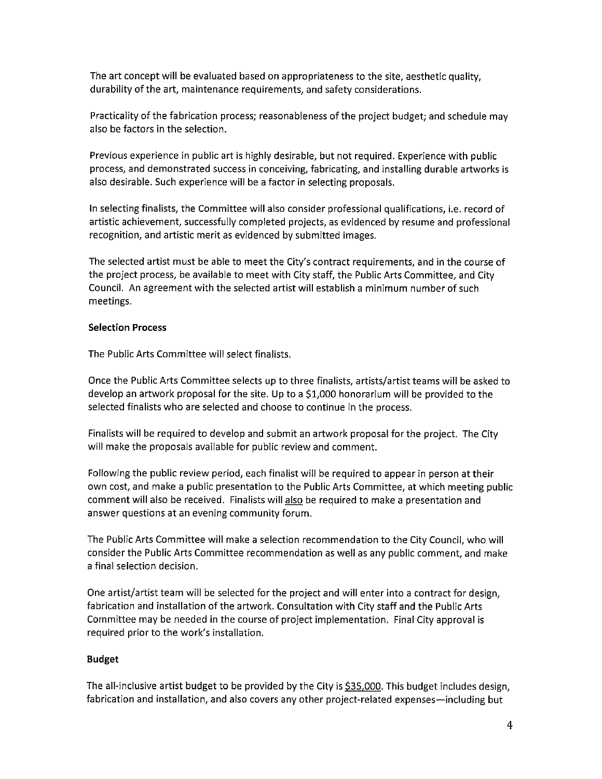The art concept will be evaluated based on appropriateness to the site, aesthetic quality, durability of the art, maintenance requirements, and safety considerations.

Practicality of the fabrication process; reasonableness of the project budget; and schedule may also be factors in the selection.

Previous experience in public art is highly desirable, but not required. Experience with public process, and demonstrated success in conceiving, fabricating, and installing durable artworks is also desirable. Such experience will be <sup>a</sup> factor in selecting proposals.

In selecting finalists, the Committee will also consider professional qualifications, i.e. record of artistic achievement, successfully completed projects, as evidenced by resume and professional recognition, and artistic merit as evidenced by submitted images.

The selected artist must be able to meet the City's contract requirements, and in the course of the project process, be available to meet with City staff, the Public Arts Committee, and City Council. An agreement with the selected artist will establish <sup>a</sup> minimum number of such meetings.

#### Selection Process

The Public Arts Committee will select finalists.

Once the Public Arts Committee selects up to three finalists, artists/artist teams will be asked to develop an artwork proposal for the site. Up to <sup>a</sup> \$1,000 honorarium will be provided to the selected finalists who are selected and choose to continue in the process.

Finalists will be required to develop and submit an artwork proposal for the project. The City will make the proposals available for public review and comment.

Following the public review period, each finalist will be required to appear in person at their own cost, and make <sup>a</sup> public presentation to the Public Arts Committee, at which meeting public comment will also be received. Finalists will also be required to make <sup>a</sup> presentation and answer questions at an evening community forum.

The Public Arts Committee will make <sup>a</sup> selection recommendation to the City Council, who will consider the Public Arts Committee recommendation as well as any public comment, and make <sup>a</sup> final selection decision.

One artist/artist team will be selected for the project and will enter into <sup>a</sup> contract for design, fabrication and installation of the artwork. Consultation with City staff and the Public Arts Committee may be needed in the course of project implementation. Final City approval is required prior to the work's installation.

#### Budget

The all-inclusive artist budget to be provided by the City is \$35,000. This budget includes design, fabrication and installation, and also covers any other project-related expenses—including but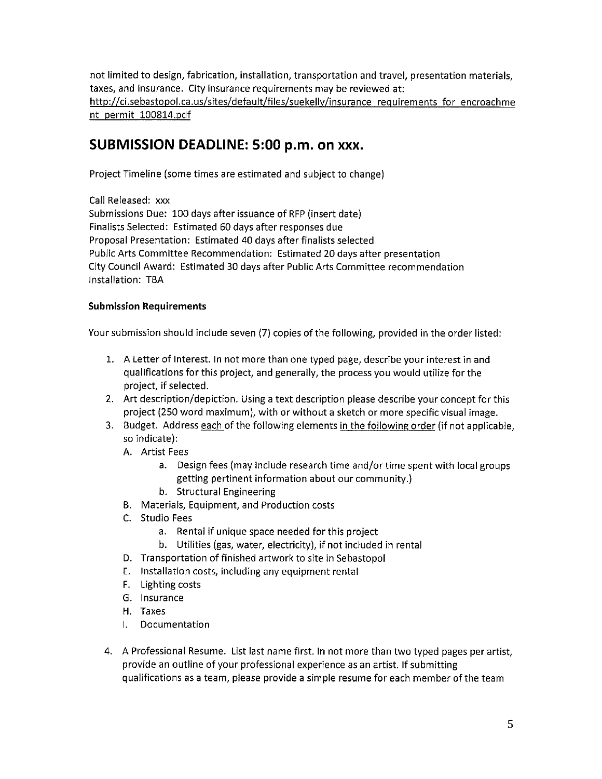not limited to design, fabrication, installation, transportation and travel, presentation materials, taxes, and insurance. City insurance requirements may be reviewed at: http://ci.sebastopol.ca.us/sites/default/files/suekelly/insurance requirements for encroachme nt permit 100814.pdf

# SUBMISSION DEADUNE: 5:00 p.m. on xxx.

Project Timeline (some times are estimated and subject to change)

Call Released: xxx Submissions Due: 100 days after issuance of RFP (insert date) Finalists Selected: Estimated 60 days after responses due Proposal Presentation: Estimated 40 days after finalists selected Public Arts Committee Recommendation: Estimated 20 days after presentation City Council Award: Estimated 30 days after Public Arts Committee recommendation Installation: TBA

## Submission Requirements

Your submission should include seven (7) copies of the following, provided in the order listed:

- 1. A Letter of Interest. In not more than one typed page, describe your interest in and qualifications for this project, and generally, the process you would utilize for the project, if selected.
- 2. Art description/depiction. Using <sup>a</sup> text description please describe your concept for this project (250 word maximum), with or without <sup>a</sup> sketch or more specific visual image.
- 3. Budget. Address each of the following elements in the following order (if not applicable, so indicate):
	- A. Artist Fees
		- a. Design fees (may include research time and/or time spent with local groups getting pertinent information about our community.)
		- b. Structural Engineering
	- B. Materials, Equipment, and Production costs
	- C. Studio Fees
		- a. Rental if unique space needed for this project
		- b. Utilities (gas, water, electricity), if not included in rental
	- D. Transportation of finished artwork to site in Sebastopol
	- E. Installation costs, including any equipment rental
	- F. Lighting costs
	- G. Insurance
	- H. Taxes
	- I. Documentation
- 4. A Professional Resume. List last name first. In not more than two typed pages per artist, provide an outline of your professional experience as an artist. If submitting qualifications as <sup>a</sup> team, please provide <sup>a</sup> simple resume for each member of the team